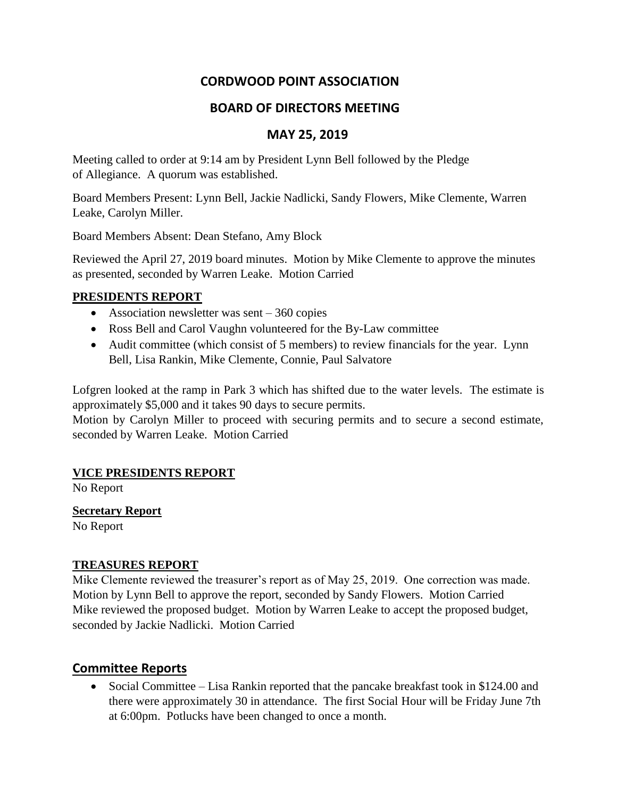# **CORDWOOD POINT ASSOCIATION**

# **BOARD OF DIRECTORS MEETING**

### **MAY 25, 2019**

Meeting called to order at 9:14 am by President Lynn Bell followed by the Pledge of Allegiance. A quorum was established.

Board Members Present: Lynn Bell, Jackie Nadlicki, Sandy Flowers, Mike Clemente, Warren Leake, Carolyn Miller.

Board Members Absent: Dean Stefano, Amy Block

Reviewed the April 27, 2019 board minutes. Motion by Mike Clemente to approve the minutes as presented, seconded by Warren Leake. Motion Carried

#### **PRESIDENTS REPORT**

- Association newsletter was sent 360 copies
- Ross Bell and Carol Vaughn volunteered for the By-Law committee
- Audit committee (which consist of 5 members) to review financials for the year. Lynn Bell, Lisa Rankin, Mike Clemente, Connie, Paul Salvatore

Lofgren looked at the ramp in Park 3 which has shifted due to the water levels. The estimate is approximately \$5,000 and it takes 90 days to secure permits.

Motion by Carolyn Miller to proceed with securing permits and to secure a second estimate, seconded by Warren Leake. Motion Carried

#### **VICE PRESIDENTS REPORT**

No Report

**Secretary Report**

No Report

#### **TREASURES REPORT**

Mike Clemente reviewed the treasurer's report as of May 25, 2019. One correction was made. Motion by Lynn Bell to approve the report, seconded by Sandy Flowers. Motion Carried Mike reviewed the proposed budget. Motion by Warren Leake to accept the proposed budget, seconded by Jackie Nadlicki. Motion Carried

# **Committee Reports**

• Social Committee – Lisa Rankin reported that the pancake breakfast took in \$124.00 and there were approximately 30 in attendance. The first Social Hour will be Friday June 7th at 6:00pm. Potlucks have been changed to once a month.